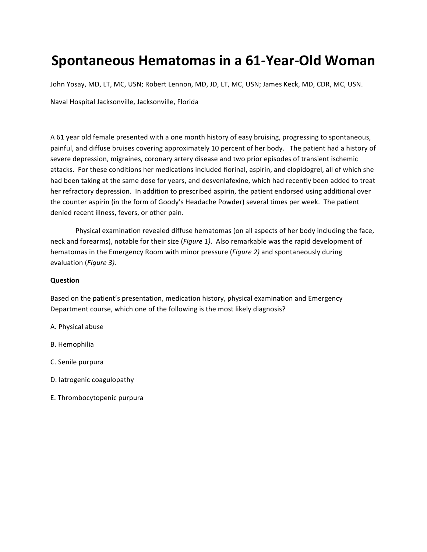# **Spontaneous Hematomas in a 61-Year-Old Woman**

John Yosay, MD, LT, MC, USN; Robert Lennon, MD, JD, LT, MC, USN; James Keck, MD, CDR, MC, USN.

Naval Hospital Jacksonville, Jacksonville, Florida

A 61 year old female presented with a one month history of easy bruising, progressing to spontaneous, painful, and diffuse bruises covering approximately 10 percent of her body. The patient had a history of severe depression, migraines, coronary artery disease and two prior episodes of transient ischemic attacks. For these conditions her medications included fiorinal, aspirin, and clopidogrel, all of which she had been taking at the same dose for years, and desvenlafexine, which had recently been added to treat her refractory depression. In addition to prescribed aspirin, the patient endorsed using additional over the counter aspirin (in the form of Goody's Headache Powder) several times per week. The patient denied recent illness, fevers, or other pain.

Physical examination revealed diffuse hematomas (on all aspects of her body including the face, neck and forearms), notable for their size (*Figure 1*). Also remarkable was the rapid development of hematomas in the Emergency Room with minor pressure (*Figure 2*) and spontaneously during evaluation (Figure 3).

### **Question**

Based on the patient's presentation, medication history, physical examination and Emergency Department course, which one of the following is the most likely diagnosis?

- A. Physical abuse
- B. Hemophilia
- C. Senile purpura
- D. latrogenic coagulopathy
- E. Thrombocytopenic purpura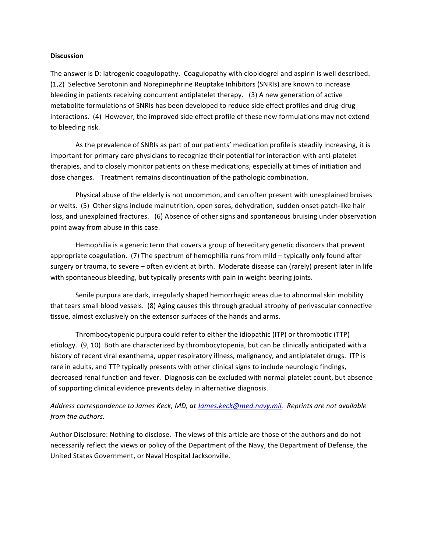### **Discussion**

The answer is D: latrogenic coagulopathy. Coagulopathy with clopidogrel and aspirin is well described. (1,2) Selective Serotonin and Norepinephrine Reuptake Inhibitors (SNRIs) are known to increase bleeding in patients receiving concurrent antiplatelet therapy. (3) A new generation of active metabolite formulations of SNRIs has been developed to reduce side effect profiles and drug-drug interactions. (4) However, the improved side effect profile of these new formulations may not extend to bleeding risk.

As the prevalence of SNRIs as part of our patients' medication profile is steadily increasing, it is important for primary care physicians to recognize their potential for interaction with anti-platelet therapies, and to closely monitor patients on these medications, especially at times of initiation and dose changes. Treatment remains discontinuation of the pathologic combination.

Physical abuse of the elderly is not uncommon, and can often present with unexplained bruises or welts. (5) Other signs include malnutrition, open sores, dehydration, sudden onset patch-like hair loss, and unexplained fractures. (6) Absence of other signs and spontaneous bruising under observation point away from abuse in this case.

Hemophilia is a generic term that covers a group of hereditary genetic disorders that prevent appropriate coagulation.  $(7)$  The spectrum of hemophilia runs from mild – typically only found after surgery or trauma, to severe – often evident at birth. Moderate disease can (rarely) present later in life with spontaneous bleeding, but typically presents with pain in weight bearing joints.

Senile purpura are dark, irregularly shaped hemorrhagic areas due to abnormal skin mobility that tears small blood vessels. (8) Aging causes this through gradual atrophy of perivascular connective tissue, almost exclusively on the extensor surfaces of the hands and arms.

Thrombocytopenic purpura could refer to either the idiopathic (ITP) or thrombotic (TTP) etiology. (9, 10) Both are characterized by thrombocytopenia, but can be clinically anticipated with a history of recent viral exanthema, upper respiratory illness, malignancy, and antiplatelet drugs. ITP is rare in adults, and TTP typically presents with other clinical signs to include neurologic findings, decreased renal function and fever. Diagnosis can be excluded with normal platelet count, but absence of supporting clinical evidence prevents delay in alternative diagnosis.

## Address correspondence to James Keck, MD, at James.keck@med.navy.mil. Reprints are not available *from the authors.*

Author Disclosure: Nothing to disclose. The views of this article are those of the authors and do not necessarily reflect the views or policy of the Department of the Navy, the Department of Defense, the United States Government, or Naval Hospital Jacksonville.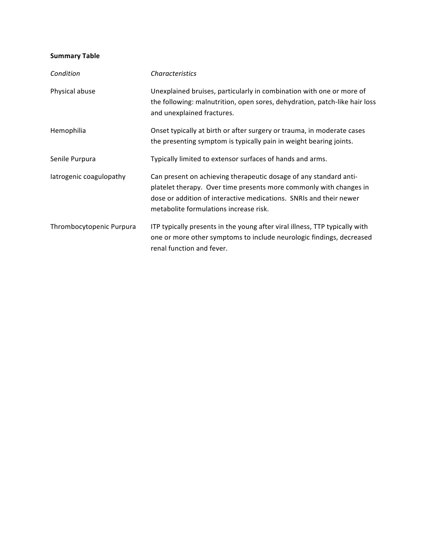## **Summary Table**

| Condition                | <b>Characteristics</b>                                                                                                                                                                                                                                  |
|--------------------------|---------------------------------------------------------------------------------------------------------------------------------------------------------------------------------------------------------------------------------------------------------|
| Physical abuse           | Unexplained bruises, particularly in combination with one or more of<br>the following: malnutrition, open sores, dehydration, patch-like hair loss<br>and unexplained fractures.                                                                        |
| Hemophilia               | Onset typically at birth or after surgery or trauma, in moderate cases<br>the presenting symptom is typically pain in weight bearing joints.                                                                                                            |
| Senile Purpura           | Typically limited to extensor surfaces of hands and arms.                                                                                                                                                                                               |
| latrogenic coagulopathy  | Can present on achieving therapeutic dosage of any standard anti-<br>platelet therapy. Over time presents more commonly with changes in<br>dose or addition of interactive medications. SNRIs and their newer<br>metabolite formulations increase risk. |
| Thrombocytopenic Purpura | ITP typically presents in the young after viral illness, TTP typically with<br>one or more other symptoms to include neurologic findings, decreased<br>renal function and fever.                                                                        |